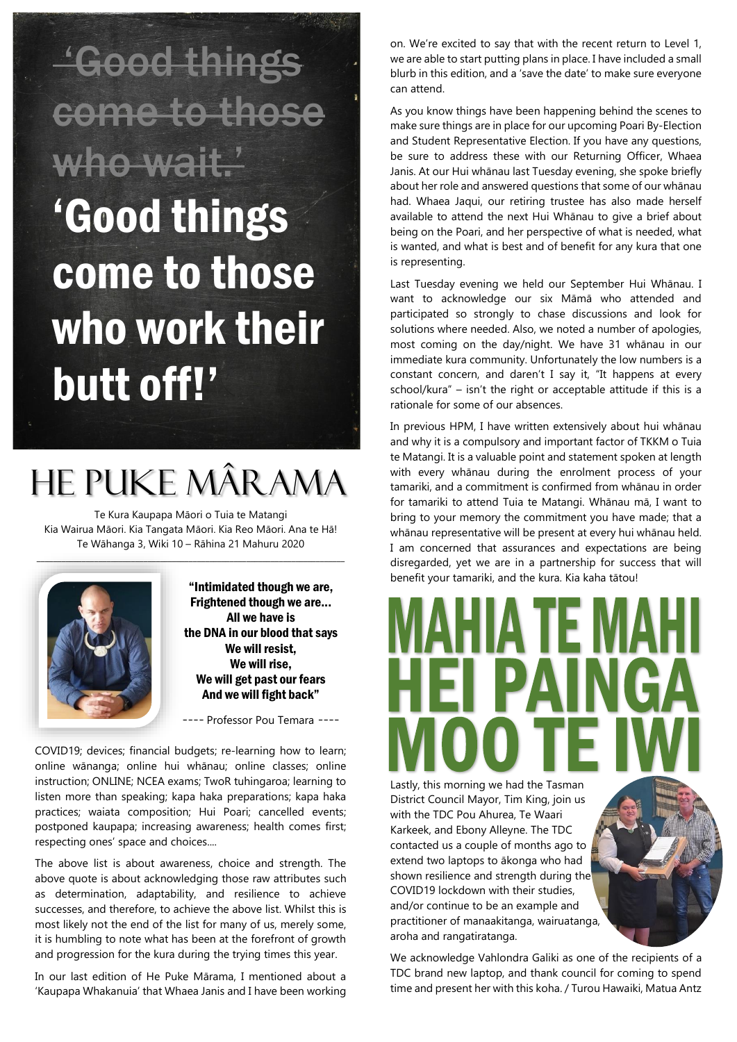'Good things come to those who wait.' 'Good things come to those who work their butt off!'

### He Puke Mârama

Te Kura Kaupapa Māori o Tuia te Matangi Kia Wairua Māori. Kia Tangata Māori. Kia Reo Māori. Ana te Hā! Te Wāhanga 3, Wiki 10 – Rāhina 21 Mahuru 2020



"Intimidated though we are, Frightened though we are... All we have is the DNA in our blood that says We will resist, We will rise, We will get past our fears And we will fight back"

---- Professor Pou Temara ----

COVID19; devices; financial budgets; re-learning how to learn; online wānanga; online hui whānau; online classes; online instruction; ONLINE; NCEA exams; TwoR tuhingaroa; learning to listen more than speaking; kapa haka preparations; kapa haka practices; waiata composition; Hui Poari; cancelled events; postponed kaupapa; increasing awareness; health comes first; respecting ones' space and choices....

The above list is about awareness, choice and strength. The above quote is about acknowledging those raw attributes such as determination, adaptability, and resilience to achieve successes, and therefore, to achieve the above list. Whilst this is most likely not the end of the list for many of us, merely some, it is humbling to note what has been at the forefront of growth and progression for the kura during the trying times this year.

In our last edition of He Puke Mārama, I mentioned about a 'Kaupapa Whakanuia' that Whaea Janis and I have been working on. We're excited to say that with the recent return to Level 1, we are able to start putting plans in place. I have included a small blurb in this edition, and a 'save the date' to make sure everyone can attend.

As you know things have been happening behind the scenes to make sure things are in place for our upcoming Poari By-Election and Student Representative Election. If you have any questions, be sure to address these with our Returning Officer, Whaea Janis. At our Hui whānau last Tuesday evening, she spoke briefly about her role and answered questions that some of our whānau had. Whaea Jaqui, our retiring trustee has also made herself available to attend the next Hui Whānau to give a brief about being on the Poari, and her perspective of what is needed, what is wanted, and what is best and of benefit for any kura that one is representing.

Last Tuesday evening we held our September Hui Whānau. I want to acknowledge our six Māmā who attended and participated so strongly to chase discussions and look for solutions where needed. Also, we noted a number of apologies, most coming on the day/night. We have 31 whānau in our immediate kura community. Unfortunately the low numbers is a constant concern, and daren't I say it, "It happens at every school/kura" – isn't the right or acceptable attitude if this is a rationale for some of our absences.

In previous HPM, I have written extensively about hui whānau and why it is a compulsory and important factor of TKKM o Tuia te Matangi. It is a valuable point and statement spoken at length with every whānau during the enrolment process of your tamariki, and a commitment is confirmed from whānau in order for tamariki to attend Tuia te Matangi. Whānau mā, I want to bring to your memory the commitment you have made; that a whānau representative will be present at every hui whānau held. I am concerned that assurances and expectations are being disregarded, yet we are in a partnership for success that will benefit your tamariki, and the kura. Kia kaha tātou!

Lastly, this morning we had the Tasman District Council Mayor, Tim King, join us with the TDC Pou Ahurea, Te Waari Karkeek, and Ebony Alleyne. The TDC contacted us a couple of months ago to extend two laptops to ākonga who had shown resilience and strength during the COVID19 lockdown with their studies, and/or continue to be an example and practitioner of manaakitanga, wairuatanga, aroha and rangatiratanga.

We acknowledge Vahlondra Galiki as one of the recipients of a TDC brand new laptop, and thank council for coming to spend time and present her with this koha. / Turou Hawaiki, Matua Antz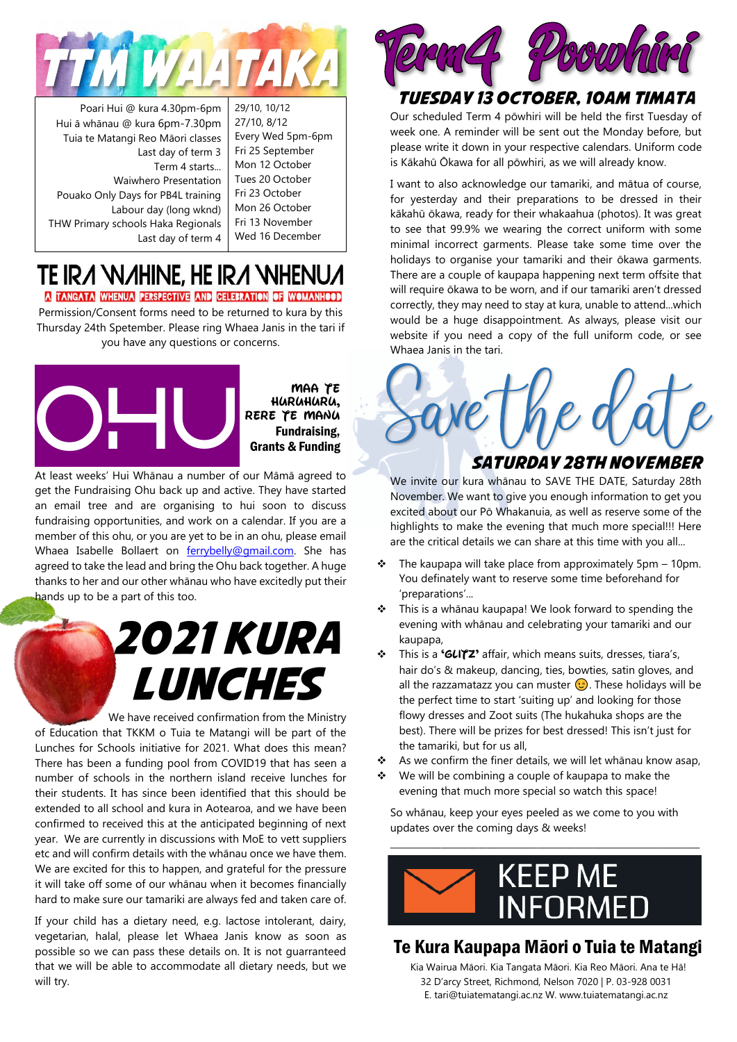

Poari Hui @ kura 4.30pm-6pm Hui ā whānau @ kura 6pm-7.30pm Tuia te Matangi Reo Māori classes Last day of term 3 Term 4 starts... Waiwhero Presentation Pouako Only Days for PB4L training Labour day (long wknd) THW Primary schools Haka Regionals Last day of term 4

29/10, 10/12 27/10, 8/12 Every Wed 5pm-6pm Fri 25 September Mon 12 October Tues 20 October Fri 23 October Mon 26 October Fri 13 November Wed 16 December

#### TE IRA WAHINE, HE IRA WHENUA A TANGATA WHENUA PERSPECTIVE AND CELEBRATION OF WOMANHOOD

Permission/Consent forms need to be returned to kura by this Thursday 24th Spetember. Please ring Whaea Janis in the tari if you have any questions or concerns.



**Maa te huruhuru, ka rere te manu** Fundraising, Grants & Funding

At least weeks' Hui Whānau a number of our Māmā agreed to get the Fundraising Ohu back up and active. They have started an email tree and are organising to hui soon to discuss fundraising opportunities, and work on a calendar. If you are a member of this ohu, or you are yet to be in an ohu, please email Whaea Isabelle Bollaert on [ferrybelly@gmail.com.](mailto:ferrybelly@gmail.com) She has agreed to take the lead and bring the Ohu back together. A huge thanks to her and our other whānau who have excitedly put their hands up to be a part of this too.

## 2021 Kura Lunches

 We have received confirmation from the Ministry of Education that TKKM o Tuia te Matangi will be part of the Lunches for Schools initiative for 2021. What does this mean? There has been a funding pool from COVID19 that has seen a number of schools in the northern island receive lunches for their students. It has since been identified that this should be extended to all school and kura in Aotearoa, and we have been confirmed to received this at the anticipated beginning of next year. We are currently in discussions with MoE to vett suppliers etc and will confirm details with the whānau once we have them. We are excited for this to happen, and grateful for the pressure it will take off some of our whānau when it becomes financially hard to make sure our tamariki are always fed and taken care of.

If your child has a dietary need, e.g. lactose intolerant, dairy, vegetarian, halal, please let Whaea Janis know as soon as possible so we can pass these details on. It is not guarranteed that we will be able to accommodate all dietary needs, but we will try.



### Tuesday 13 October, 10am timata

Our scheduled Term 4 pōwhiri will be held the first Tuesday of week one. A reminder will be sent out the Monday before, but please write it down in your respective calendars. Uniform code is Kākahū Ōkawa for all pōwhiri, as we will already know.

I want to also acknowledge our tamariki, and mātua of course, for yesterday and their preparations to be dressed in their kākahū ōkawa, ready for their whakaahua (photos). It was great to see that 99.9% we wearing the correct uniform with some minimal incorrect garments. Please take some time over the holidays to organise your tamariki and their ōkawa garments. There are a couple of kaupapa happening next term offsite that will require ōkawa to be worn, and if our tamariki aren't dressed correctly, they may need to stay at kura, unable to attend...which would be a huge disappointment. As always, please visit our website if you need a copy of the full uniform code, or see Whaea Janis in the tari.



We invite our kura whānau to SAVE THE DATE, Saturday 28th November. We want to give you enough information to get you excited about our Pō Whakanuia, as well as reserve some of the highlights to make the evening that much more special!!! Here are the critical details we can share at this time with you all...

- $\div$  The kaupapa will take place from approximately 5pm 10pm. You definately want to reserve some time beforehand for 'preparations'...
- This is a whānau kaupapa! We look forward to spending the evening with whānau and celebrating your tamariki and our kaupapa,
- ❖ This is a **'GLITZ'** affair, which means suits, dresses, tiara's, hair do's & makeup, dancing, ties, bowties, satin gloves, and all the razzamatazz you can muster  $\odot$ . These holidays will be the perfect time to start 'suiting up' and looking for those flowy dresses and Zoot suits (The hukahuka shops are the best). There will be prizes for best dressed! This isn't just for the tamariki, but for us all,
- As we confirm the finer details, we will let whānau know asap,
- We will be combining a couple of kaupapa to make the evening that much more special so watch this space!

So whānau, keep your eyes peeled as we come to you with updates over the coming days & weeks!

\_\_\_\_\_\_\_\_\_\_\_\_\_\_\_\_\_\_\_\_\_\_\_\_\_\_\_\_\_\_\_\_\_\_\_\_\_\_\_\_\_\_\_\_\_\_\_\_\_\_\_\_\_\_\_\_\_\_\_\_\_\_\_\_\_\_\_



### Te Kura Kaupapa Māori o Tuia te Matangi

Kia Wairua Māori. Kia Tangata Māori. Kia Reo Māori. Ana te Hā! 32 D'arcy Street, Richmond, Nelson 7020 | P. 03-928 0031 E. [tari@tuiatematangi.ac.nz](mailto:tari@tuiatematangi.ac.nz) W. [www.tuiatematangi.ac.nz](http://www.tuiatematangi.ac.nz/)